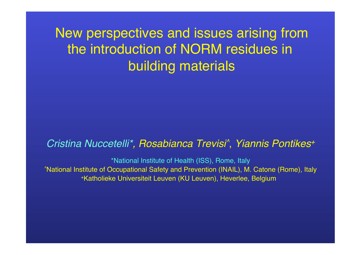New perspectives and issues arising from the introduction of NORM residues in building materials

#### *Cristina Nuccetelli\*, Rosabianca Trevisi^* , *Yiannis Pontikes+*

\*National Institute of Health (ISS), Rome, Italy ^National Institute of Occupational Safety and Prevention (INAIL), M. Catone (Rome), Italy +Katholieke Universiteit Leuven (KU Leuven), Heverlee, Belgium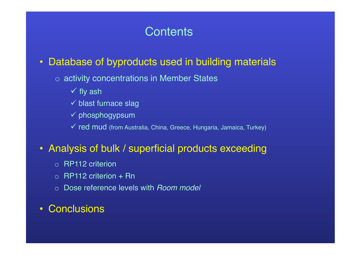## **Contents**

#### • Database of byproducts used in building materials

- o activity concentrations in Member States
	- $\checkmark$  fly ash
	- $\checkmark$  blast furnace slag
	- $\checkmark$  phosphogypsum
	- √ red mud (from Australia, China, Greece, Hungaria, Jamaica, Turkey)

#### • Analysis of bulk / superficial products exceeding

- o RP112 criterion
- $\circ$  RP112 criterion + Rn
- o Dose reference levels with *Room model*

#### • Conclusions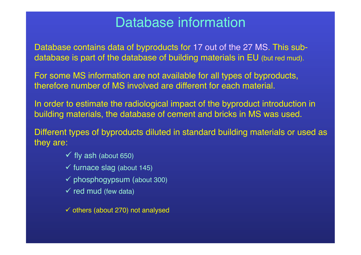# Database information

Database contains data of byproducts for 17 out of the 27 MS. This subdatabase is part of the database of building materials in EU (but red mud).

For some MS information are not available for all types of byproducts, therefore number of MS involved are different for each material.

In order to estimate the radiological impact of the byproduct introduction in building materials, the database of cement and bricks in MS was used.

Different types of byproducts diluted in standard building materials or used as they are:

- $\checkmark$  fly ash (about 650)
- $\checkmark$  furnace slag (about 145)
- $\checkmark$  phosphogypsum (about 300)
- $\checkmark$  red mud (few data)
- $\checkmark$  others (about 270) not analysed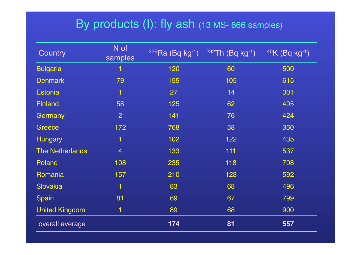# By products (I): fly ash (13 MS- 666 samples)

| Country                | N of<br>samples | $226$ Ra (Bq kg $^{-1}$ ) | $232Th$ (Bq kg <sup>-1</sup> ) | $40K$ (Bq kg <sup>-1</sup> ) |
|------------------------|-----------------|---------------------------|--------------------------------|------------------------------|
| <b>Bulgaria</b>        | 1               | 120                       | 60                             | 500                          |
| <b>Denmark</b>         | 79              | 155                       | 105                            | 615                          |
| <b>Estonia</b>         | 1               | 27                        | 14                             | 301                          |
| <b>Finland</b>         | 58              | 125                       | 62                             | 495                          |
| Germany                | $\overline{2}$  | 141                       | 76                             | 424                          |
| Greece                 | 172             | 768                       | 58                             | 350                          |
| <b>Hungary</b>         | 1               | 102                       | 122                            | 435                          |
| <b>The Netherlands</b> | $\overline{4}$  | 133                       | 111                            | 537                          |
| Poland                 | 108             | 235                       | 118                            | 798                          |
| Romania                | 157             | 210                       | 123                            | 592                          |
| <b>Slovakia</b>        | 1               | 83                        | 68                             | 496                          |
| Spain                  | 81              | 69                        | 67                             | 799                          |
| <b>United Kingdom</b>  | 1               | 89                        | 68                             | 900                          |
| overall average        |                 | 174                       | 81                             | 557                          |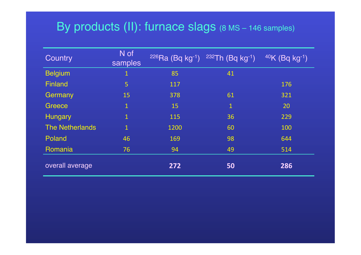# By products (II): furnace slags (8 MS - 146 samples)

| Country                | N of<br>samples | $226$ Ra (Bq kg-1) | $232Th$ (Bq kg-1) | $40K$ (Bq kg <sup>-1</sup> ) |
|------------------------|-----------------|--------------------|-------------------|------------------------------|
| <b>Belgium</b>         | $\mathbf{1}$    | 85                 | 41                |                              |
| <b>Finland</b>         | 5               | 117                |                   | 176                          |
| Germany                | 15              | 378                | 61                | 321                          |
| Greece                 | $\mathbf{1}$    | 15                 | $\mathbf{1}$      | 20                           |
| Hungary                | $\mathbf{1}$    | 115                | 36                | 229                          |
| <b>The Netherlands</b> | $\mathbf{1}$    | 1200               | 60                | 100                          |
| Poland                 | 46              | 169                | 98                | 644                          |
| Romania                | 76              | 94                 | 49                | 514                          |
| overall average        |                 | 272                | 50                | 286                          |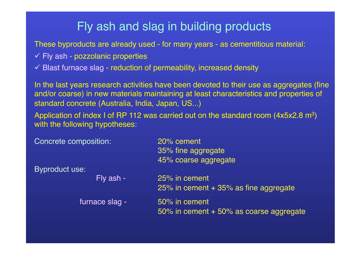## Fly ash and slag in building products

These byproducts are already used - for many years - as cementitious material:

- $\checkmark$  Fly ash pozzolanic properties
- $\checkmark$  Blast furnace slag reduction of permeability, increased density

In the last years research activities have been devoted to their use as aggregates (fine and/or coarse) in new materials maintaining at least characteristics and properties of standard concrete (Australia, India, Japan, US...)

Application of index I of RP 112 was carried out on the standard room  $(4x5x2.8 m<sup>3</sup>)$ with the following hypotheses:

| Concrete composition: | 20% cement                              |
|-----------------------|-----------------------------------------|
|                       | 35% fine aggregate                      |
|                       | 45% coarse aggregate                    |
| Byproduct use:        |                                         |
| Fly ash -             | 25% in cement                           |
|                       | 25% in cement $+35%$ as fine aggregate  |
| furnace slag -        | 50% in cement                           |
|                       | 50% in cement + 50% as coarse aggregate |
|                       |                                         |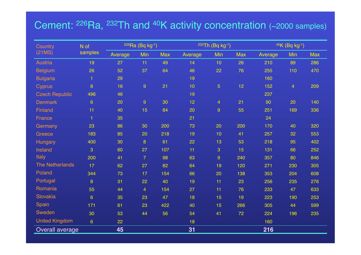#### Cement: <sup>226</sup>Ra, <sup>232</sup>Th and <sup>40</sup>K activity concentration (~2000 samples)

| <b>Country</b>         | N of           | $226$ Ra (Bq kg-1) |                  | $232Th$ (Bq kg <sup>-1</sup> ) |         |                | $40K$ (Bq kg <sup>-1</sup> ) |         |                |     |
|------------------------|----------------|--------------------|------------------|--------------------------------|---------|----------------|------------------------------|---------|----------------|-----|
| (21MS)                 | samples        | Average            | Min              | <b>Max</b>                     | Average | Min            | <b>Max</b>                   | Average | Min            | Max |
| <b>Austria</b>         | 19             | 27                 | 11               | 49                             | 14      | 10             | 26                           | 210     | 89             | 286 |
| <b>Belgium</b>         | 26             | 52                 | 37               | 64                             | 46      | 22             | 76                           | 255     | 110            | 470 |
| <b>Bulgaria</b>        | $\mathbf{1}$   | 29                 |                  |                                | 19      |                |                              | 160     |                |     |
| <b>Cyprus</b>          | 8              | 16                 | $\overline{9}$   | 21                             | 10      | $\overline{5}$ | 12 <sub>2</sub>              | 152     | $\overline{4}$ | 209 |
| <b>Czech Republic</b>  | 496            | 46                 |                  |                                | 19      |                |                              | 237     |                |     |
| <b>Denmark</b>         | $6\phantom{1}$ | 20                 | 9                | 30                             | 12      | $\overline{4}$ | 21                           | 90      | 20             | 140 |
| Finland                | 11             | 40                 | 15               | 84                             | 20      | 9              | 55                           | 251     | 169            | 336 |
| France                 | $\mathbf{1}$   | 35                 |                  |                                | 21      |                |                              | 24      |                |     |
| Germany                | 23             | 86                 | 30               | 200                            | 73      | 20             | 200                          | 170     | 40             | 320 |
| Greece                 | 183            | 85                 | 20               | 218                            | 19      | 10             | 41                           | 257     | 32             | 553 |
| <b>Hungary</b>         | 400            | 30                 | $\boldsymbol{8}$ | 61                             | 22      | 13             | 53                           | 218     | 95             | 402 |
| Ireland                | 3              | 60                 | 27               | 107                            | 11      | 3              | 15                           | 131     | 66             | 252 |
| Italy                  | 200            | 41                 | $\overline{7}$   | 98                             | 63      | $\overline{9}$ | 240                          | 357     | 80             | 846 |
| <b>The Netherlands</b> | 17             | 62                 | 27               | 82                             | 64      | 19             | 120                          | 271     | 230            | 305 |
| Poland                 | 344            | 73                 | 17               | 154                            | 66      | 20             | 138                          | 353     | 204            | 608 |
| Portugal               | 8              | 31                 | 22               | 40                             | 19      | 11             | 23                           | 256     | 235            | 276 |
| Romania                | 55             | 44                 | $\overline{4}$   | 154                            | 27      | 11             | 76                           | 233     | 47             | 633 |
| Slovakia               | $6\phantom{1}$ | 35                 | 23               | 47                             | 18      | 15             | 19                           | 223     | 190            | 253 |
| Spain                  | 171            | 61                 | 23               | 422                            | 40      | 15             | 266                          | 305     | 44             | 599 |
| Sweden                 | 30             | 53                 | 44               | 56                             | 54      | 41             | 72                           | 224     | 196            | 235 |
| <b>United Kingdom</b>  | $6\phantom{a}$ | 22                 |                  |                                | 18      |                |                              | 160     |                |     |
| Overall average        |                | 45                 |                  |                                | 31      |                |                              | 216     |                |     |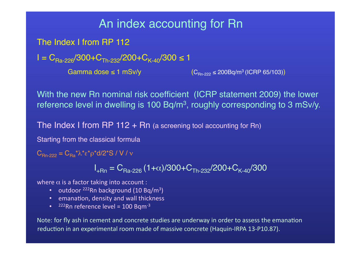#### An index accounting for Rn

The Index I from RP 112

 $I = C_{\text{Ra-226}} / 300 + C_{\text{Th-232}} / 200 + C_{\text{K-40}} / 300 \le 1$ 

Gamma dose  $\leq 1$  mSv/y  $(C_{\text{Rn-222}} \leq 200 \text{Bq/m}^3 \text{ (ICRP 65/103)})$ 

With the new Rn nominal risk coefficient (ICRP statement 2009) the lower reference level in dwelling is 100 Bq/m<sup>3</sup>, roughly corresponding to 3 mSv/y.

The Index I from RP 112  $+$  Rn (a screening tool accounting for Rn)

Starting from the classical formula

 $\rm C_{Rn\text{-}222} = C_{Ra}$ \*λ\*ε\*ρ\*d/2\*S / V / ν

 $I_{+Rn} = C_{Ra-226} (1+\alpha)/300 + C_{Th-232}/200 + C_{K-40}/300$ 

where  $\alpha$  is a factor taking into account :

- outdoor <sup>222</sup>Rn background (10 Bq/m<sup>3</sup>)
- emanation, density and wall thickness
- $222$ Rn reference level = 100 Bqm<sup>-3</sup>

Note: for fly ash in cement and concrete studies are underway in order to assess the emanation reduction in an experimental room made of massive concrete (Haquin-IRPA 13-P10.87).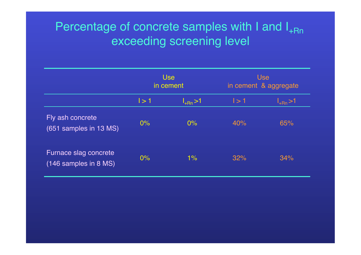# Percentage of concrete samples with I and  $I_{+Rn}$ exceeding screening level

|                                                | <b>Use</b><br>in cement |               | <b>Use</b><br>in cement & aggregate |              |
|------------------------------------------------|-------------------------|---------------|-------------------------------------|--------------|
|                                                | $\vert > 1$             | $I_{+Rn} > 1$ | $\vert > 1$                         | $I_{+Rn}$ >1 |
| Fly ash concrete<br>(651 samples in 13 MS)     | $0\%$                   | $0\%$         | 40%                                 | 65%          |
| Furnace slag concrete<br>(146 samples in 8 MS) | $0\%$                   | $1\%$         | 32%                                 | 34%          |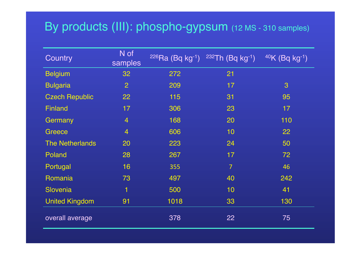# By products (III): phospho-gypsum (12 MS - 310 samples)

| Country                | N of<br>samples | $226$ Ra (Bq kg $^{-1}$ ) | $232$ Th (Bq kg $^{-1}$ ) | $40K$ (Bq kg <sup>-1</sup> ) |
|------------------------|-----------------|---------------------------|---------------------------|------------------------------|
| <b>Belgium</b>         | 32              | 272                       | 21                        |                              |
| <b>Bulgaria</b>        | $\overline{2}$  | 209                       | 17                        | 3                            |
| <b>Czech Republic</b>  | 22              | 115                       | 31                        | 95                           |
| <b>Finland</b>         | 17              | 306                       | 23                        | 17                           |
| Germany                | $\overline{4}$  | 168                       | 20                        | 110                          |
| <b>Greece</b>          | $\overline{4}$  | 606                       | 10                        | 22                           |
| <b>The Netherlands</b> | 20              | 223                       | 24                        | 50                           |
| Poland                 | 28              | 267                       | 17                        | 72                           |
| Portugal               | 16              | 355                       | $\overline{7}$            | 46                           |
| Romania                | 73              | 497                       | 40                        | 242                          |
| Slovenia               | 1               | 500                       | 10                        | 41                           |
| <b>United Kingdom</b>  | 91              | 1018                      | 33                        | 130                          |
| overall average        |                 | 378                       | 22                        | 75                           |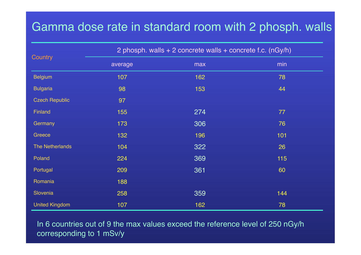## Gamma dose rate in standard room with 2 phosph. walls

|                       | 2 phosph. walls $+$ 2 concrete walls $+$ concrete f.c. (nGy/h) |     |     |  |  |  |  |
|-----------------------|----------------------------------------------------------------|-----|-----|--|--|--|--|
| Country               | average                                                        | max | min |  |  |  |  |
| <b>Belgium</b>        | 107                                                            | 162 | 78  |  |  |  |  |
| <b>Bulgaria</b>       | 98                                                             | 153 | 44  |  |  |  |  |
| <b>Czech Republic</b> | 97                                                             |     |     |  |  |  |  |
| Finland               | 155                                                            | 274 | 77  |  |  |  |  |
| Germany               | 173                                                            | 306 | 76  |  |  |  |  |
| Greece                | 132                                                            | 196 | 101 |  |  |  |  |
| The Netherlands       | 104                                                            | 322 | 26  |  |  |  |  |
| Poland                | 224                                                            | 369 | 115 |  |  |  |  |
| Portugal              | 209                                                            | 361 | 60  |  |  |  |  |
| Romania               | 188                                                            |     |     |  |  |  |  |
| Slovenia              | 258                                                            | 359 | 144 |  |  |  |  |
| <b>United Kingdom</b> | 107                                                            | 162 | 78  |  |  |  |  |

In 6 countries out of 9 the max values exceed the reference level of 250 nGy/h corresponding to 1 mSv/y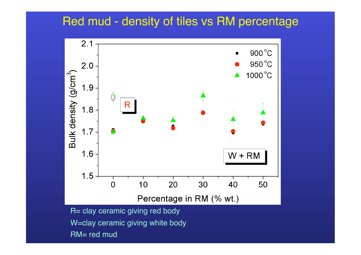#### Red mud - density of tiles vs RM percentage



W=clay ceramic giving white body

RM= red mud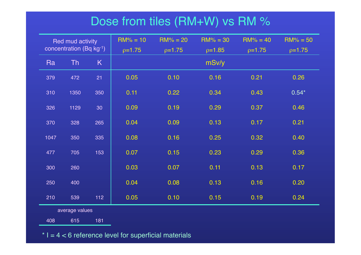## Dose from tiles (RM+W) vs RM %

|      | Red mud activity        |     | $RM% = 10$ | $RM% = 20$ | $RM% = 30$ | $RM% = 40$ | $RM% = 50$ |
|------|-------------------------|-----|------------|------------|------------|------------|------------|
|      | concentration (Bq kg-1) |     | $p=1.75$   | $p=1.75$   | $p=1.85$   | $p=1.75$   | $p=1.75$   |
| Ra   | <b>Th</b>               | K   |            |            | mSv/y      |            |            |
| 379  | 472                     | 21  | 0.05       | 0.10       | 0.16       | 0.21       | 0.26       |
| 310  | 1350                    | 350 | 0.11       | 0.22       | 0.34       | 0.43       | $0.54*$    |
| 326  | 1129                    | 30  | 0.09       | 0.19       | 0.29       | 0.37       | 0.46       |
| 370  | 328                     | 265 | 0.04       | 0.09       | 0.13       | 0.17       | 0.21       |
| 1047 | 350                     | 335 | 0.08       | 0.16       | 0.25       | 0.32       | 0.40       |
| 477  | 705                     | 153 | 0.07       | 0.15       | 0.23       | 0.29       | 0.36       |
| 300  | 260                     |     | 0.03       | 0.07       | 0.11       | 0.13       | 0.17       |
| 250  | 400                     |     | 0.04       | 0.08       | 0.13       | 0.16       | 0.20       |
| 210  | 539                     | 112 | 0.05       | 0.10       | 0.15       | 0.19       | 0.24       |
|      | average values          |     |            |            |            |            |            |
| 408  | 615                     | 181 |            |            |            |            |            |

 $*$  I = 4 < 6 reference level for superficial materials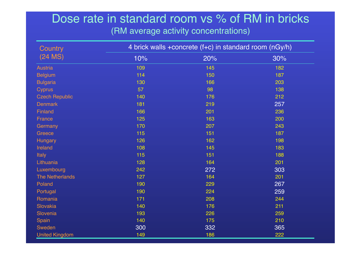#### Dose rate in standard room vs % of RM in bricks (RM average activity concentrations)

| Country               |     | 4 brick walls + concrete (f+c) in standard room (nGy/h) |     |
|-----------------------|-----|---------------------------------------------------------|-----|
| $(24$ MS)             | 10% | 20%                                                     | 30% |
| <b>Austria</b>        | 109 | 145                                                     | 182 |
| <b>Belgium</b>        | 114 | 150                                                     | 187 |
| <b>Bulgaria</b>       | 130 | 166                                                     | 203 |
| Cyprus                | 57  | 98                                                      | 138 |
| <b>Czech Republic</b> | 140 | 176                                                     | 212 |
| <b>Denmark</b>        | 181 | 219                                                     | 257 |
| Finland               | 166 | 201                                                     | 236 |
| France                | 125 | 163                                                     | 200 |
| Germany               | 170 | 207                                                     | 243 |
| Greece                | 115 | 151                                                     | 187 |
| <b>Hungary</b>        | 126 | 162                                                     | 198 |
| Ireland               | 108 | 145                                                     | 183 |
| Italy                 | 115 | 151                                                     | 188 |
| Lithuania             | 128 | 164                                                     | 201 |
| Luxembourg            | 242 | 272                                                     | 303 |
| The Netherlands       | 127 | 164                                                     | 201 |
| Poland                | 190 | 229                                                     | 267 |
| Portugal              | 190 | 224                                                     | 259 |
| Romania               | 171 | 208                                                     | 244 |
| Slovakia              | 140 | 176                                                     | 211 |
| Slovenia              | 193 | 226                                                     | 259 |
| Spain                 | 140 | 175                                                     | 210 |
| Sweden                | 300 | 332                                                     | 365 |
| <b>United Kingdom</b> | 149 | 186                                                     | 222 |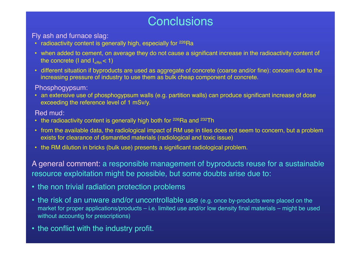## **Conclusions**

Fly ash and furnace slag:

- radioactivity content is generally high, especially for <sup>226</sup>Ra
- when added to cement, on average they do not cause a significant increase in the radioactivity content of the concrete (I and  $I_{\text{LBr}}$  < 1)
- different situation if byproducts are used as aggregate of concrete (coarse and/or fine): concern due to the increasing pressure of industry to use them as bulk cheap component of concrete.

Phosphogypsum:

• an extensive use of phosphogypsum walls (e.g. partition walls) can produce significant increase of dose exceeding the reference level of 1 mSv/y.

Red mud:

- the radioactivity content is generally high both for  $226$ Ra and  $232$ Th
- from the available data, the radiological impact of RM use in tiles does not seem to concern, but a problem exists for clearance of dismantled materials (radiological and toxic issue)
- the RM dilution in bricks (bulk use) presents a significant radiological problem.

A general comment: a responsible management of byproducts reuse for a sustainable resource exploitation might be possible, but some doubts arise due to:

- the non trivial radiation protection problems
- the risk of an unware and/or uncontrollable use (e.g. once by-products were placed on the market for proper applications/products – i.e. limited use and/or low density final materials – might be used without accountig for prescriptions)
- the conflict with the industry profit.